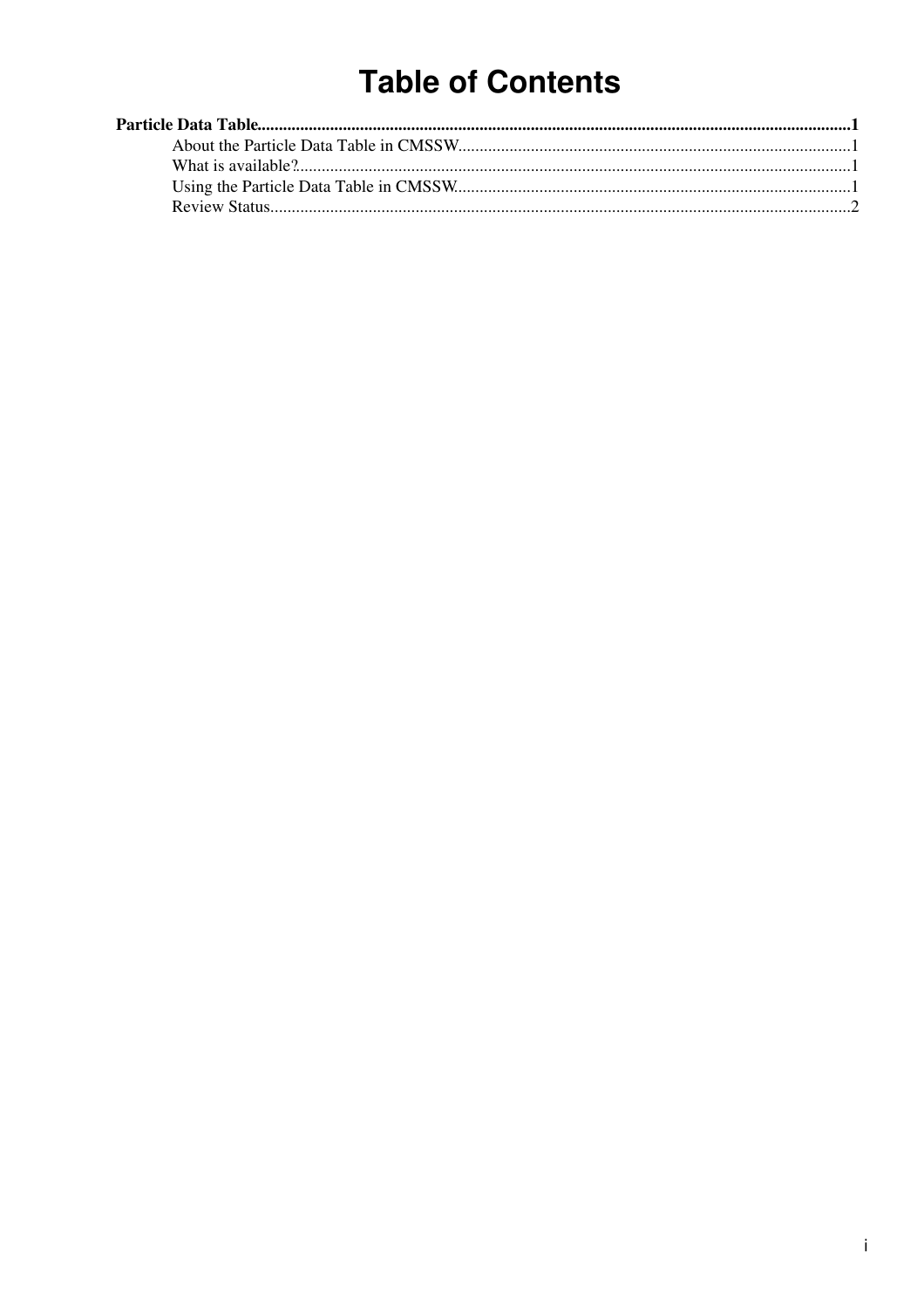# **Table of Contents**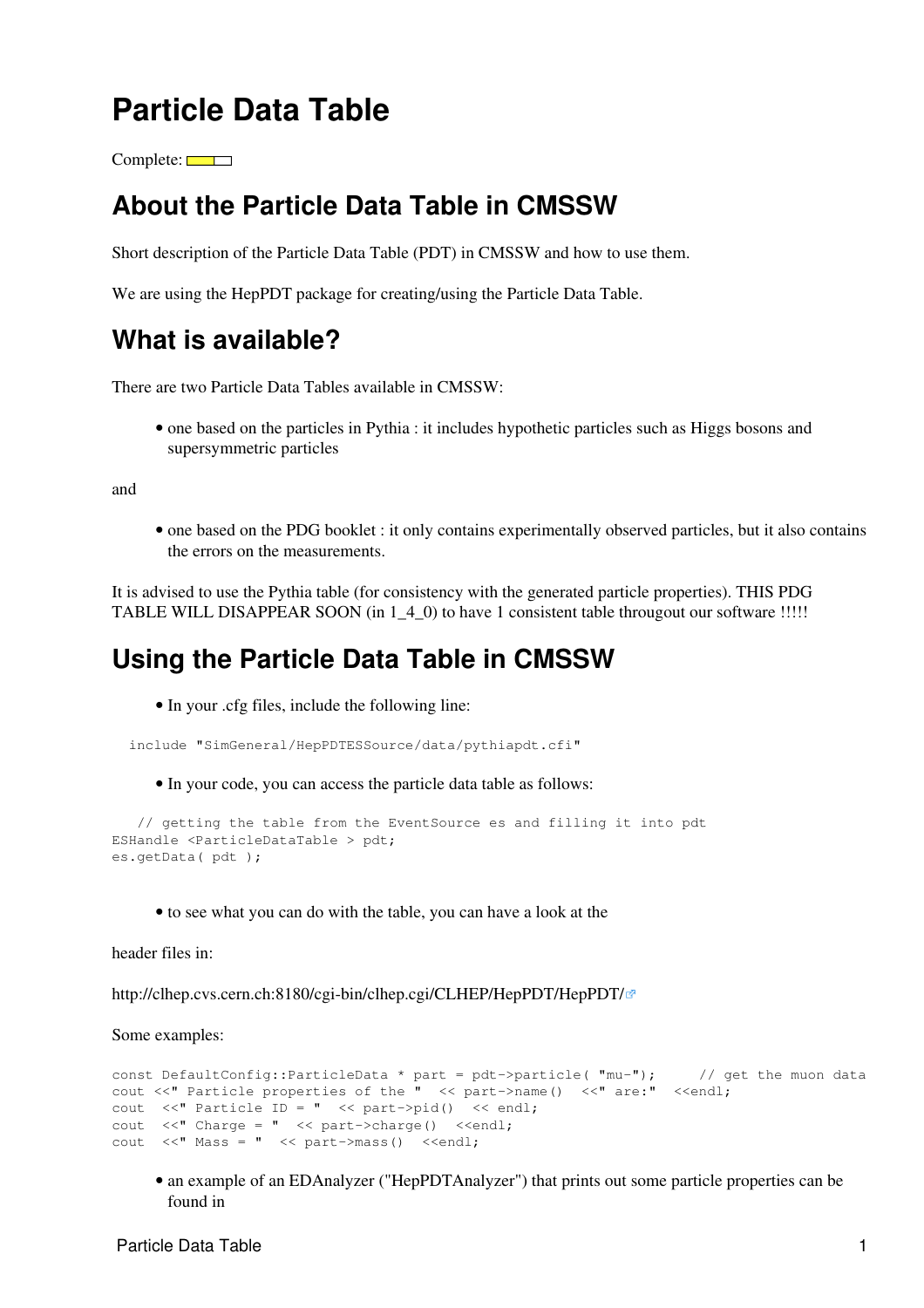## <span id="page-1-0"></span>**Particle Data Table**

 $Complete: \Box$ 

#### <span id="page-1-1"></span>**About the Particle Data Table in CMSSW**

Short description of the Particle Data Table (PDT) in CMSSW and how to use them.

We are using the HepPDT package for creating/using the Particle Data Table.

#### <span id="page-1-2"></span>**What is available?**

There are two Particle Data Tables available in CMSSW:

• one based on the particles in Pythia : it includes hypothetic particles such as Higgs bosons and supersymmetric particles

and

• one based on the PDG booklet : it only contains experimentally observed particles, but it also contains the errors on the measurements.

It is advised to use the Pythia table (for consistency with the generated particle properties). THIS PDG TABLE WILL DISAPPEAR SOON (in 1\_4\_0) to have 1 consistent table througout our software !!!!!

#### <span id="page-1-3"></span>**Using the Particle Data Table in CMSSW**

• In your .cfg files, include the following line:

```
 include "SimGeneral/HepPDTESSource/data/pythiapdt.cfi"
```
• In your code, you can access the particle data table as follows:

```
 // getting the table from the EventSource es and filling it into pdt
ESHandle <ParticleDataTable > pdt;
es.getData( pdt );
```
• to see what you can do with the table, you can have a look at the

header files in:

<http://clhep.cvs.cern.ch:8180/cgi-bin/clhep.cgi/CLHEP/HepPDT/HepPDT/>

Some examples:

```
const DefaultConfig::ParticleData * part = pdt->particle( "mu-"); // get the muon data
cout <<" Particle properties of the " << part->name() <<" are:" <<endl;
cout \langle\langle \cdot \rangle Particle ID = " \langle\langle \cdot \rangle part->pid() \langle\langle \cdot \rangle endl;
cout <<" Charge = " << part->charge() <<endl;
cout <<" Mass = " << part->mass() <<endl;
```
• an example of an EDAnalyzer ("HepPDTAnalyzer") that prints out some particle properties can be found in